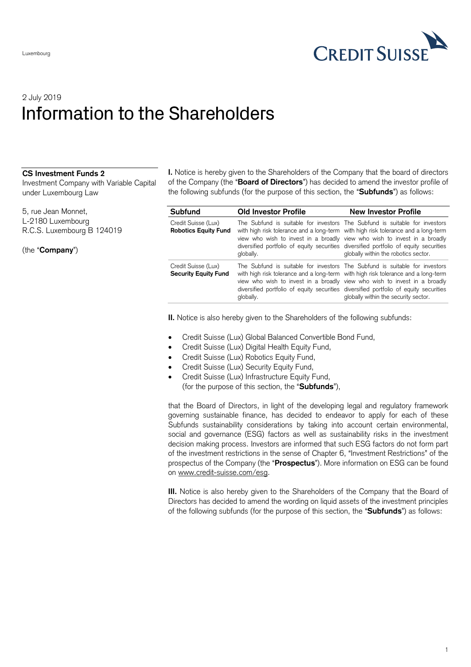

## 2 July 2019 Information to the Shareholders

## **CS Investment Funds 2**

Investment Company with Variable Capital under Luxembourg Law

5, rue Jean Monnet, L-2180 Luxembourg R.C.S. Luxembourg B 124019

(the "**Company**")

**I.** Notice is hereby given to the Shareholders of the Company that the board of directors of the Company (the "**Board of Directors**") has decided to amend the investor profile of the following subfunds (for the purpose of this section, the "**Subfunds**") as follows:

| <b>Subfund</b>                                     | <b>Old Investor Profile</b>                                                                    | <b>New Investor Profile</b>                                                                                                                                                                                                                                                               |
|----------------------------------------------------|------------------------------------------------------------------------------------------------|-------------------------------------------------------------------------------------------------------------------------------------------------------------------------------------------------------------------------------------------------------------------------------------------|
| Credit Suisse (Lux)<br><b>Robotics Equity Fund</b> | with high risk tolerance and a long-term with high risk tolerance and a long-term<br>globally. | The Subfund is suitable for investors The Subfund is suitable for investors<br>view who wish to invest in a broadly view who wish to invest in a broadly<br>diversified portfolio of equity securities diversified portfolio of equity securities<br>globally within the robotics sector. |
| Credit Suisse (Lux)<br><b>Security Equity Fund</b> | with high risk tolerance and a long-term with high risk tolerance and a long-term<br>globally. | The Subfund is suitable for investors The Subfund is suitable for investors<br>view who wish to invest in a broadly view who wish to invest in a broadly<br>diversified portfolio of equity securities diversified portfolio of equity securities<br>globally within the security sector. |

**II.** Notice is also hereby given to the Shareholders of the following subfunds:

- Credit Suisse (Lux) Global Balanced Convertible Bond Fund,
- Credit Suisse (Lux) Digital Health Equity Fund,
- Credit Suisse (Lux) Robotics Equity Fund,
- Credit Suisse (Lux) Security Equity Fund,
- Credit Suisse (Lux) Infrastructure Equity Fund, (for the purpose of this section, the "**Subfunds**"),

that the Board of Directors, in light of the developing legal and regulatory framework governing sustainable finance, has decided to endeavor to apply for each of these Subfunds sustainability considerations by taking into account certain environmental, social and governance (ESG) factors as well as sustainability risks in the investment decision making process. Investors are informed that such ESG factors do not form part of the investment restrictions in the sense of Chapter 6, "Investment Restrictions" of the prospectus of the Company (the "**Prospectus**"). More information on ESG can be found on [www.credit-suisse.com/esg.](http://www.credit-suisse.com/esg)

**III.** Notice is also hereby given to the Shareholders of the Company that the Board of Directors has decided to amend the wording on liquid assets of the investment principles of the following subfunds (for the purpose of this section, the "**Subfunds**") as follows: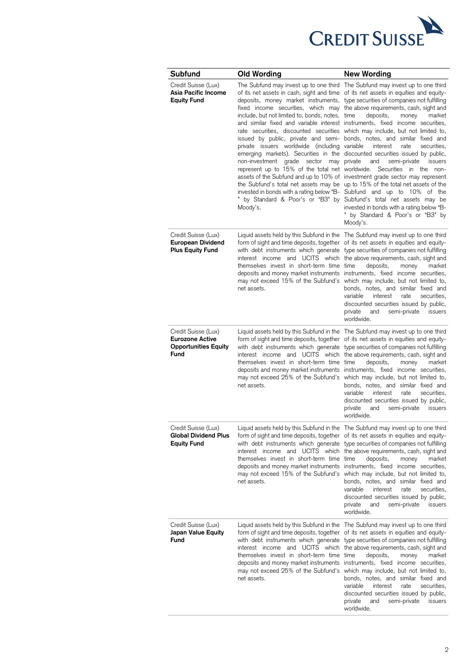

| Subfund                                                                                     | Old Wording                                                                                                                                                                                                | <b>New Wording</b>                                                                                                                                                                                                                                                                                                                                                                                                                                                                                                                                                                                                                                                                                                                                                                                                                                                                                                                                                                                                                                                                                                                                                                                                    |
|---------------------------------------------------------------------------------------------|------------------------------------------------------------------------------------------------------------------------------------------------------------------------------------------------------------|-----------------------------------------------------------------------------------------------------------------------------------------------------------------------------------------------------------------------------------------------------------------------------------------------------------------------------------------------------------------------------------------------------------------------------------------------------------------------------------------------------------------------------------------------------------------------------------------------------------------------------------------------------------------------------------------------------------------------------------------------------------------------------------------------------------------------------------------------------------------------------------------------------------------------------------------------------------------------------------------------------------------------------------------------------------------------------------------------------------------------------------------------------------------------------------------------------------------------|
| Credit Suisse (Lux)<br>Asia Pacific Income<br><b>Equity Fund</b>                            | include, but not limited to, bonds, notes, time<br>private issuers worldwide (including variable<br>non-investment grade sector may private<br>represent up to 15% of the total net worldwide.<br>Moody's. | The Subfund may invest up to one third The Subfund may invest up to one third<br>of its net assets in cash, sight and time of its net assets in equities and equity-<br>deposits, money market instruments, type securities of companies not fulfilling<br>fixed income securities, which may the above requirements, cash, sight and<br>deposits,<br>money<br>market<br>and similar fixed and variable interest instruments, fixed income securities,<br>rate securities, discounted securities which may include, but not limited to,<br>issued by public, private and semi- bonds, notes, and similar fixed and<br>interest<br>securities,<br>rate<br>emerging markets). Securities in the discounted securities issued by public,<br>and<br>semi-private<br>issuers<br>Securities in the<br>non-<br>assets of the Subfund and up to 10% of investment grade sector may represent<br>the Subfund's total net assets may be up to 15% of the total net assets of the<br>invested in bonds with a rating below "B- Subfund and up to 10% of the<br>" by Standard & Poor's or "B3" by Subfund's total net assets may be<br>invested in bonds with a rating below "B-<br>" by Standard & Poor's or "B3" by<br>Moody's. |
| Credit Suisse (Lux)<br><b>European Dividend</b><br><b>Plus Equity Fund</b>                  | themselves invest in short-term time time<br>net assets.                                                                                                                                                   | Liquid assets held by this Subfund in the The Subfund may invest up to one third<br>form of sight and time deposits, together of its net assets in equities and equity-<br>with debt instruments which generate type securities of companies not fulfilling<br>interest income and UCITS which the above requirements, cash, sight and<br>deposits,<br>money<br>market<br>deposits and money market instruments instruments, fixed income securities,<br>may not exceed 15% of the Subfund's which may include, but not limited to,<br>bonds, notes, and similar fixed and<br>variable<br>interest<br>rate<br>securities.<br>discounted securities issued by public,<br>semi-private<br>private<br>and<br>issuers<br>worldwide.                                                                                                                                                                                                                                                                                                                                                                                                                                                                                       |
| Credit Suisse (Lux)<br><b>Eurozone Active</b><br><b>Opportunities Equity</b><br><b>Fund</b> | themselves invest in short-term time time<br>net assets.                                                                                                                                                   | Liquid assets held by this Subfund in the The Subfund may invest up to one third<br>form of sight and time deposits, together of its net assets in equities and equity-<br>with debt instruments which generate type securities of companies not fulfilling<br>interest income and UCITS which the above requirements, cash, sight and<br>deposits,<br>money<br>market<br>deposits and money market instruments instruments, fixed income securities,<br>may not exceed 25% of the Subfund's which may include, but not limited to,<br>bonds, notes, and similar fixed and<br>variable<br>interest<br>rate<br>securities,<br>discounted securities issued by public,<br>private<br>and<br>semi-private<br>issuers<br>worldwide.                                                                                                                                                                                                                                                                                                                                                                                                                                                                                       |
| Credit Suisse (Lux)<br><b>Global Dividend Plus</b><br><b>Equity Fund</b>                    | themselves invest in short-term time time<br>net assets.                                                                                                                                                   | Liquid assets held by this Subfund in the The Subfund may invest up to one third<br>form of sight and time deposits, together of its net assets in equities and equity-<br>with debt instruments which generate type securities of companies not fulfilling<br>interest income and UCITS which the above requirements, cash, sight and<br>deposits,<br>money<br>market<br>deposits and money market instruments instruments, fixed income securities,<br>may not exceed 15% of the Subfund's which may include, but not limited to,<br>bonds, notes, and similar fixed and<br>variable<br>rate<br>interest<br>securities,<br>discounted securities issued by public,<br>semi-private<br>private<br>and<br>issuers<br>worldwide.                                                                                                                                                                                                                                                                                                                                                                                                                                                                                       |
| Credit Suisse (Lux)<br>Japan Value Equity<br>Fund                                           | interest income and UCITS which<br>themselves invest in short-term time time<br>net assets.                                                                                                                | Liquid assets held by this Subfund in the The Subfund may invest up to one third<br>form of sight and time deposits, together of its net assets in equities and equity-<br>with debt instruments which generate type securities of companies not fulfilling<br>the above requirements, cash, sight and<br>deposits,<br>money<br>market<br>deposits and money market instruments instruments, fixed income securities,<br>may not exceed 25% of the Subfund's which may include, but not limited to,<br>bonds, notes, and similar fixed and<br>variable<br>interest<br>rate<br>securities,<br>discounted securities issued by public,<br>semi-private<br>private<br>and<br>issuers<br>worldwide.                                                                                                                                                                                                                                                                                                                                                                                                                                                                                                                       |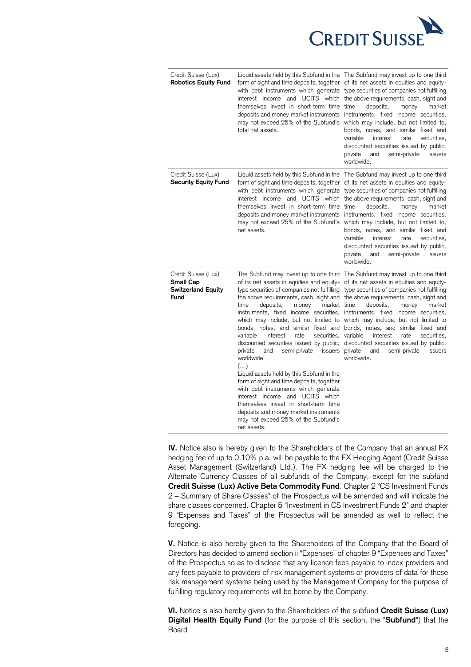

| Credit Suisse (Lux)<br><b>Robotics Equity Fund</b>                           | themselves invest in short-term time time<br>total net assets.                                                                                                                                                                                                                                                                                                                                                                                                      | Liquid assets held by this Subfund in the The Subfund may invest up to one third<br>form of sight and time deposits, together of its net assets in equities and equity-<br>with debt instruments which generate type securities of companies not fulfilling<br>interest income and UCITS which the above requirements, cash, sight and<br>deposits,<br>money<br>market<br>deposits and money market instruments instruments, fixed income securities,<br>may not exceed 25% of the Subfund's which may include, but not limited to,<br>bonds, notes, and similar fixed and<br>variable<br>interest<br>securities.<br>rate<br>discounted securities issued by public,<br>private<br>and<br>semi-private<br>issuers<br>worldwide.                                                                                      |
|------------------------------------------------------------------------------|---------------------------------------------------------------------------------------------------------------------------------------------------------------------------------------------------------------------------------------------------------------------------------------------------------------------------------------------------------------------------------------------------------------------------------------------------------------------|----------------------------------------------------------------------------------------------------------------------------------------------------------------------------------------------------------------------------------------------------------------------------------------------------------------------------------------------------------------------------------------------------------------------------------------------------------------------------------------------------------------------------------------------------------------------------------------------------------------------------------------------------------------------------------------------------------------------------------------------------------------------------------------------------------------------|
| Credit Suisse (Lux)<br>Security Equity Fund                                  | themselves invest in short-term time time<br>net assets.                                                                                                                                                                                                                                                                                                                                                                                                            | Liquid assets held by this Subfund in the The Subfund may invest up to one third<br>form of sight and time deposits, together of its net assets in equities and equity-<br>with debt instruments which generate type securities of companies not fulfilling<br>interest income and UCITS which the above requirements, cash, sight and<br>deposits,<br>money<br>market<br>deposits and money market instruments instruments, fixed income securities,<br>may not exceed 25% of the Subfund's which may include, but not limited to,<br>bonds, notes, and similar fixed and<br>variable<br>interest<br>rate<br>securities,<br>discounted securities issued by public,<br>issuers<br>private<br>and<br>semi-private<br>worldwide.                                                                                      |
| Credit Suisse (Lux)<br><b>Small Cap</b><br><b>Switzerland Equity</b><br>Fund | market time<br>time<br>deposits,<br>money<br>variable<br>interest<br>rate<br>securities, variable<br>semi-private<br>private<br>and<br>worldwide.<br>()<br>Liquid assets held by this Subfund in the<br>form of sight and time deposits, together<br>with debt instruments which generate<br>interest income and UCITS which<br>themselves invest in short-term time<br>deposits and money market instruments<br>may not exceed 25% of the Subfund's<br>net assets. | The Subfund may invest up to one third The Subfund may invest up to one third<br>of its net assets in equities and equity- of its net assets in equities and equity-<br>type securities of companies not fulfilling type securities of companies not fulfilling<br>the above requirements, cash, sight and the above requirements, cash, sight and<br>deposits,<br>money<br>market<br>instruments, fixed income securities, instruments, fixed income securities,<br>which may include, but not limited to which may include, but not limited to<br>bonds, notes, and similar fixed and bonds, notes, and similar fixed and<br>interest<br>rate<br>securities,<br>discounted securities issued by public, discounted securities issued by public,<br>issuers private<br>and<br>semi-private<br>issuers<br>worldwide. |

**IV.** Notice also is hereby given to the Shareholders of the Company that an annual FX hedging fee of up to 0.10% p.a. will be payable to the FX Hedging Agent (Credit Suisse Asset Management (Switzerland) Ltd.). The FX hedging fee will be charged to the Alternate Currency Classes of all subfunds of the Company, except for the subfund **Credit Suisse (Lux) Active Beta Commodity Fund**. Chapter 2 "CS Investment Funds 2 – Summary of Share Classes" of the Prospectus will be amended and will indicate the share classes concerned. Chapter 5 "Investment in CS Investment Funds 2" and chapter 9 "Expenses and Taxes" of the Prospectus will be amended as well to reflect the foregoing.

**V.** Notice is also hereby given to the Shareholders of the Company that the Board of Directors has decided to amend section ii "Expenses" of chapter 9 "Expenses and Taxes" of the Prospectus so as to disclose that any licence fees payable to index providers and any fees payable to providers of risk management systems or providers of data for those risk management systems being used by the Management Company for the purpose of fulfilling regulatory requirements will be borne by the Company.

**VI.** Notice is also hereby given to the Shareholders of the subfund **Credit Suisse (Lux) Digital Health Equity Fund** (for the purpose of this section, the "**Subfund**") that the Board